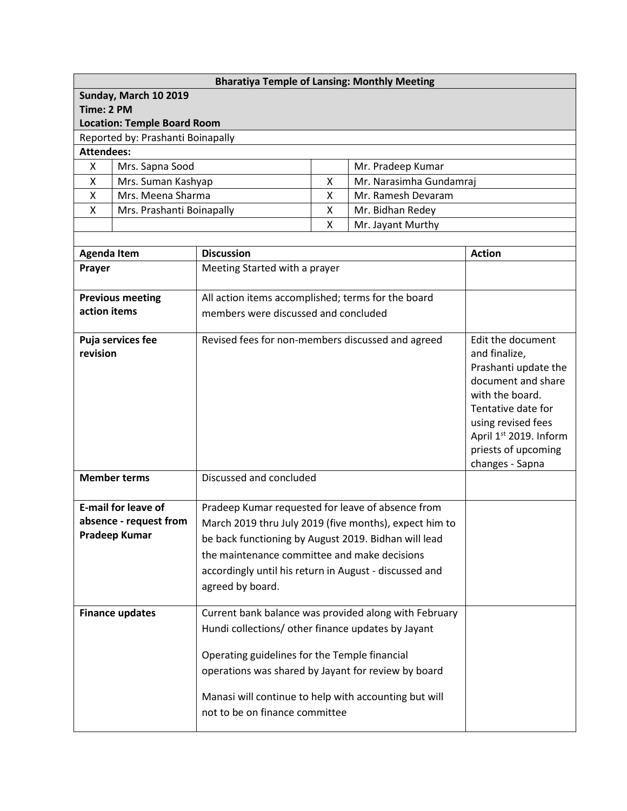| <b>Bharatiya Temple of Lansing: Monthly Meeting</b> |                        |                                                        |                       |                   |                                       |  |  |
|-----------------------------------------------------|------------------------|--------------------------------------------------------|-----------------------|-------------------|---------------------------------------|--|--|
| Sunday, March 10 2019                               |                        |                                                        |                       |                   |                                       |  |  |
| Time: 2 PM                                          |                        |                                                        |                       |                   |                                       |  |  |
| <b>Location: Temple Board Room</b>                  |                        |                                                        |                       |                   |                                       |  |  |
| Reported by: Prashanti Boinapally                   |                        |                                                        |                       |                   |                                       |  |  |
| <b>Attendees:</b>                                   |                        |                                                        |                       |                   |                                       |  |  |
| Mrs. Sapna Sood<br>X                                |                        | Mr. Pradeep Kumar                                      |                       |                   |                                       |  |  |
| Mrs. Suman Kashyap<br>X                             |                        | Χ<br>Mr. Narasimha Gundamraj                           |                       |                   |                                       |  |  |
| Χ<br>Mrs. Meena Sharma                              |                        | X<br>Mr. Ramesh Devaram                                |                       |                   |                                       |  |  |
| X<br>Mrs. Prashanti Boinapally                      |                        |                                                        | Mr. Bidhan Redey<br>Χ |                   |                                       |  |  |
|                                                     |                        |                                                        | Χ                     | Mr. Jayant Murthy |                                       |  |  |
|                                                     |                        | <b>Discussion</b>                                      |                       |                   | <b>Action</b>                         |  |  |
| <b>Agenda Item</b>                                  |                        |                                                        |                       |                   |                                       |  |  |
| Prayer                                              |                        | Meeting Started with a prayer                          |                       |                   |                                       |  |  |
| <b>Previous meeting</b>                             |                        | All action items accomplished; terms for the board     |                       |                   |                                       |  |  |
| action items                                        |                        | members were discussed and concluded                   |                       |                   |                                       |  |  |
|                                                     |                        |                                                        |                       |                   |                                       |  |  |
| Puja services fee                                   |                        | Revised fees for non-members discussed and agreed      |                       |                   | Edit the document                     |  |  |
| revision                                            |                        |                                                        |                       |                   | and finalize,                         |  |  |
|                                                     |                        |                                                        |                       |                   | Prashanti update the                  |  |  |
|                                                     |                        |                                                        |                       |                   | document and share<br>with the board. |  |  |
|                                                     |                        |                                                        |                       |                   | Tentative date for                    |  |  |
|                                                     |                        |                                                        |                       |                   | using revised fees                    |  |  |
|                                                     |                        |                                                        |                       |                   | April 1st 2019. Inform                |  |  |
|                                                     |                        |                                                        |                       |                   | priests of upcoming                   |  |  |
|                                                     |                        |                                                        |                       |                   | changes - Sapna                       |  |  |
| <b>Member terms</b>                                 |                        | Discussed and concluded                                |                       |                   |                                       |  |  |
|                                                     |                        |                                                        |                       |                   |                                       |  |  |
| <b>E-mail for leave of</b>                          |                        | Pradeep Kumar requested for leave of absence from      |                       |                   |                                       |  |  |
|                                                     | absence - request from | March 2019 thru July 2019 (five months), expect him to |                       |                   |                                       |  |  |
| Pradeep Kumar                                       |                        | be back functioning by August 2019. Bidhan will lead   |                       |                   |                                       |  |  |
|                                                     |                        | the maintenance committee and make decisions           |                       |                   |                                       |  |  |
|                                                     |                        | accordingly until his return in August - discussed and |                       |                   |                                       |  |  |
|                                                     |                        | agreed by board.                                       |                       |                   |                                       |  |  |
|                                                     |                        |                                                        |                       |                   |                                       |  |  |
| <b>Finance updates</b>                              |                        | Current bank balance was provided along with February  |                       |                   |                                       |  |  |
|                                                     |                        | Hundi collections/ other finance updates by Jayant     |                       |                   |                                       |  |  |
|                                                     |                        |                                                        |                       |                   |                                       |  |  |
|                                                     |                        | Operating guidelines for the Temple financial          |                       |                   |                                       |  |  |
|                                                     |                        | operations was shared by Jayant for review by board    |                       |                   |                                       |  |  |
|                                                     |                        |                                                        |                       |                   |                                       |  |  |
|                                                     |                        | Manasi will continue to help with accounting but will  |                       |                   |                                       |  |  |
|                                                     |                        | not to be on finance committee                         |                       |                   |                                       |  |  |
|                                                     |                        |                                                        |                       |                   |                                       |  |  |